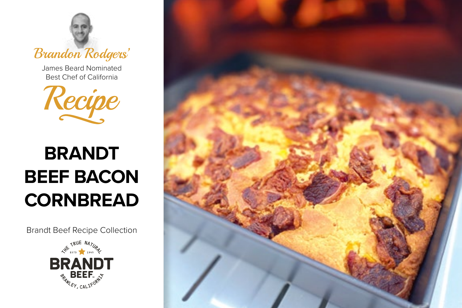

James Beard Nominated Best Chef of California



# **BRANDT BEEF BACON CORNBREAD**

Brandt Beef Recipe Collection



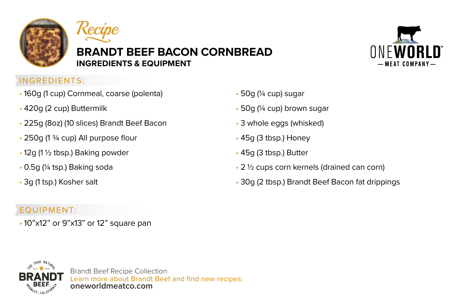



## **BRANDT BEEF BACON CORNBREAD INGREDIENTS & EQUIPMENT**



## INGREDIENTS:

- 160g (1 cup) Cornmeal, coarse (polenta)
- 420g (2 cup) Buttermilk
- 225g (8oz) (10 slices) Brandt Beef Bacon
- 250g (1 ¾ cup) All purpose flour
- 12g (1 ½ tbsp.) Baking powder
- 0.5g (¼ tsp.) Baking soda
- 3g (1 tsp.) Kosher salt

## • 50g (¼ cup) sugar

- 50g (¼ cup) brown sugar
- 3 whole eggs (whisked)
- 45g (3 tbsp.) Honey
- 45g (3 tbsp.) Butter
- 2 ½ cups corn kernels (drained can corn)
- 30g (2 tbsp.) Brandt Beef Bacon fat drippings

## EQUIPMENT:

• 10"x12" or 9"x13" or 12" square pan



Brandt Beef Recipe Collection Learn more about Brandt Beef and find new recipes: **oneworldmeatco.com**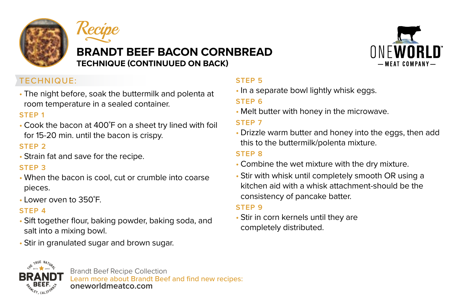



# **BRANDT BEEF BACON CORNBREAD TECHNIQUE (CONTINUUED ON BACK)**



## TECHNIQUE:

• The night before, soak the buttermilk and polenta at room temperature in a sealed container.

#### **STEP 1**

• Cook the bacon at 400˚F on a sheet try lined with foil for 15-20 min. until the bacon is crispy.

## **STEP 2**

• Strain fat and save for the recipe.

### **STEP 3**

- When the bacon is cool, cut or crumble into coarse pieces.
- Lower oven to 350˚F.

## **STEP 4**

- Sift together flour, baking powder, baking soda, and salt into a mixing bowl.
- Stir in granulated sugar and brown sugar.

## **STEP 5**

• In a separate bowl lightly whisk eggs.

## **STEP 6**

• Melt butter with honey in the microwave.

## **STEP 7**

• Drizzle warm butter and honey into the eggs, then add this to the buttermilk/polenta mixture.

## **STEP 8**

- Combine the wet mixture with the dry mixture.
- Stir with whisk until completely smooth OR using a kitchen aid with a whisk attachment-should be the consistency of pancake batter.

### **STEP 9**

• Stir in corn kernels until they are completely distributed.



Brandt Beef Recipe Collection Learn more about Brandt Beef and find new recipes: **oneworldmeatco.com**